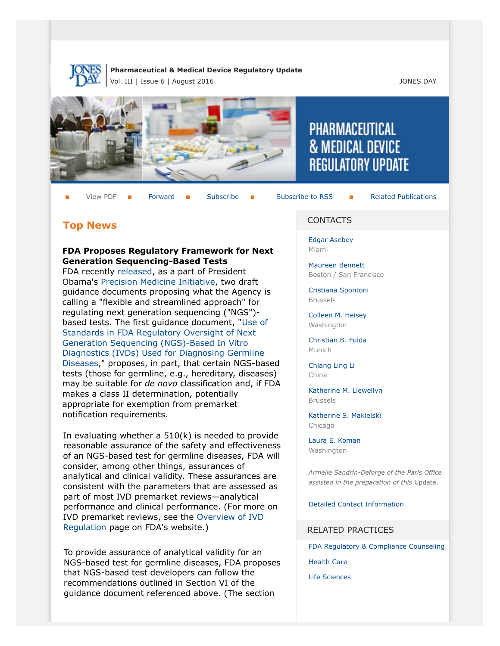

### **Pharmaceutical & Medical Device Regulatory Update** Vol. III | Issue 6 | August 2016 **JONES DAY**



View PDF **[Forward](http://thewritestuff.jonesday.com/cff/cc3d01dc32185760c65c076d9e64f65df01eeff1/) B** [Subscribe](http://www.jonesday.com/newsknowledge/publications.aspx) **Formal Subscribe Constructions** 

## **Top News**

### **FDA Proposes Regulatory Framework for Next Generation Sequencing-Based Tests**

FDA recently [released](http://www.fda.gov/NewsEvents/Newsroom/PressAnnouncements/ucm509814.htm), as a part of President Obama's [Precision Medicine Initiative](https://www.whitehouse.gov/precision-medicine), two draft guidance documents proposing what the Agency is calling a "flexible and streamlined approach" for regulating next generation sequencing ("NGS") based tests. The first guidance document, "[Use of](http://www.fda.gov/ucm/groups/fdagov-public/@fdagov-meddev-gen/documents/document/ucm509838.pdf) [Standards in FDA Regulatory Oversight of Next](http://www.fda.gov/ucm/groups/fdagov-public/@fdagov-meddev-gen/documents/document/ucm509838.pdf) [Generation Sequencing \(NGS\)-Based In Vitro](http://www.fda.gov/ucm/groups/fdagov-public/@fdagov-meddev-gen/documents/document/ucm509838.pdf) [Diagnostics \(IVDs\) Used for Diagnosing Germline](http://www.fda.gov/ucm/groups/fdagov-public/@fdagov-meddev-gen/documents/document/ucm509838.pdf) [Diseases,](http://www.fda.gov/ucm/groups/fdagov-public/@fdagov-meddev-gen/documents/document/ucm509838.pdf)" proposes, in part, that certain NGS-based tests (those for germline, e.g., hereditary, diseases) may be suitable for *de novo* classification and, if FDA makes a class II determination, potentially appropriate for exemption from premarket notification requirements.

In evaluating whether a 510(k) is needed to provide reasonable assurance of the safety and effectiveness of an NGS-based test for germline diseases, FDA will consider, among other things, assurances of analytical and clinical validity. These assurances are consistent with the parameters that are assessed as part of most IVD premarket reviews—analytical performance and clinical performance. (For more on IVD premarket reviews, see the [Overview of IVD](http://www.fda.gov/MedicalDevices/DeviceRegulationandGuidance/IVDRegulatoryAssistance/ucm123682.htm#6) [Regulation](http://www.fda.gov/MedicalDevices/DeviceRegulationandGuidance/IVDRegulatoryAssistance/ucm123682.htm#6) page on FDA's website.)

To provide assurance of analytical validity for an NGS-based test for germline diseases, FDA proposes that NGS-based test developers can follow the recommendations outlined in Section VI of the guidance document referenced above. (The section

#### CONTACTS

[Edgar Asebey](http://www.jonesday.com/easebey) Miami

[Maureen Bennett](http://www.jonesday.com/mbennett) Boston / San Francisco

**PHARMACEUTICAL** 

**& MEDICAL DEVICE** 

**REGULATORY UPDATE** 

[Cristiana Spontoni](http://www.jonesday.com/cspontoni) Brussels

[Colleen M. Heisey](http://www.jonesday.com/cmheisey) Washington

[Christian B. Fulda](http://www.jonesday.com/cfulda) Munich

[Chiang Ling Li](http://www.jonesday.com/chianglingli) China

[Katherine M. Llewellyn](http://www.jonesday.com/kllewellyn) Brussels

[Katherine S. Makielski](http://www.jonesday.com/kmakielski) Chicago

[Laura E. Koman](http://www.jonesday.com/lkoman) Washington

*Armelle Sandrin-Deforge of the Paris Office assisted in the preparation of this* Update.

[Detailed Contact Information](#page-6-0)

### RELATED PRACTICES

[FDA Regulatory & Compliance Counseling](http://www.jonesday.com/fdaregulatoryandcompliancecounseling/)

[Health Care](http://www.jonesday.com/Health-Care-Practices)

[Life Sciences](http://www.jonesday.com/lifesciences/)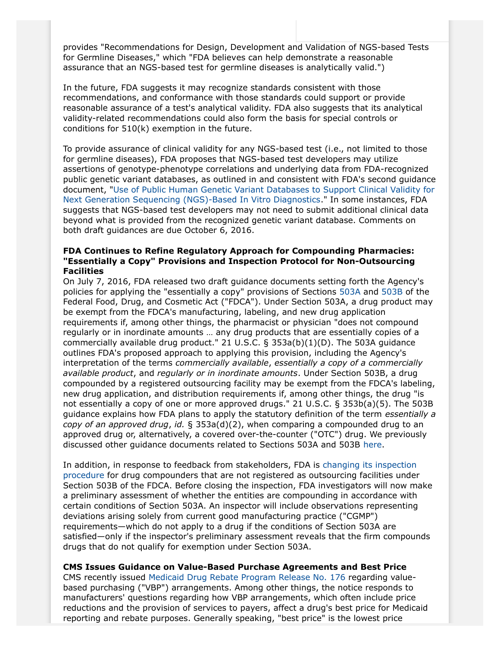provides "Recommendations for Design, Development and Validation of NGS-based Tests for Germline Diseases," which "FDA believes can help demonstrate a reasonable assurance that an NGS-based test for germline diseases is analytically valid.")

In the future, FDA suggests it may recognize standards consistent with those recommendations, and conformance with those standards could support or provide reasonable assurance of a test's analytical validity. FDA also suggests that its analytical validity-related recommendations could also form the basis for special controls or conditions for 510(k) exemption in the future.

To provide assurance of clinical validity for any NGS-based test (i.e., not limited to those for germline diseases), FDA proposes that NGS-based test developers may utilize assertions of genotype-phenotype correlations and underlying data from FDA-recognized public genetic variant databases, as outlined in and consistent with FDA's second guidance document, "[Use of Public Human Genetic Variant Databases to Support Clinical Validity for](http://www.fda.gov/ucm/groups/fdagov-public/@fdagov-meddev-gen/documents/document/ucm509837.pdf) [Next Generation Sequencing \(NGS\)-Based In Vitro Diagnostics.](http://www.fda.gov/ucm/groups/fdagov-public/@fdagov-meddev-gen/documents/document/ucm509837.pdf)" In some instances, FDA suggests that NGS-based test developers may not need to submit additional clinical data beyond what is provided from the recognized genetic variant database. Comments on both draft guidances are due October 6, 2016.

## **FDA Continues to Refine Regulatory Approach for Compounding Pharmacies: "Essentially a Copy" Provisions and Inspection Protocol for Non-Outsourcing Facilities**

On July 7, 2016, FDA released two draft guidance documents setting forth the Agency's policies for applying the "essentially a copy" provisions of Sections [503A](http://www.fda.gov/ucm/groups/fdagov-public/@fdagov-drugs-gen/documents/document/ucm510154.pdf) and [503B](http://www.fda.gov/ucm/groups/fdagov-public/@fdagov-drugs-gen/documents/document/ucm510153.pdf) of the Federal Food, Drug, and Cosmetic Act ("FDCA"). Under Section 503A, a drug product may be exempt from the FDCA's manufacturing, labeling, and new drug application requirements if, among other things, the pharmacist or physician "does not compound regularly or in inordinate amounts … any drug products that are essentially copies of a commercially available drug product." 21 U.S.C.  $\S$  353a(b)(1)(D). The 503A guidance outlines FDA's proposed approach to applying this provision, including the Agency's interpretation of the terms *commercially available*, *essentially a copy of a commercially available product*, and *regularly or in inordinate amounts*. Under Section 503B, a drug compounded by a registered outsourcing facility may be exempt from the FDCA's labeling, new drug application, and distribution requirements if, among other things, the drug "is not essentially a copy of one or more approved drugs." 21 U.S.C. § 353b(a)(5). The 503B guidance explains how FDA plans to apply the statutory definition of the term *essentially a copy of an approved drug*, *id.* § 353a(d)(2), when comparing a compounded drug to an approved drug or, alternatively, a covered over-the-counter ("OTC") drug. We previously discussed other guidance documents related to Sections 503A and 503B [here.](http://thewritestuff.jonesday.com/cv/1be4a50eeda1ac10c5b65699c166b3f085c80d60/p=3194046)

In addition, in response to feedback from stakeholders, FDA is [changing its inspection](http://www.fda.gov/downloads/Drugs/GuidanceComplianceRegulatoryInformation/PharmacyCompounding/UCM510684.pdf) [procedure](http://www.fda.gov/downloads/Drugs/GuidanceComplianceRegulatoryInformation/PharmacyCompounding/UCM510684.pdf) for drug compounders that are not registered as outsourcing facilities under Section 503B of the FDCA. Before closing the inspection, FDA investigators will now make a preliminary assessment of whether the entities are compounding in accordance with certain conditions of Section 503A. An inspector will include observations representing deviations arising solely from current good manufacturing practice ("CGMP") requirements—which do not apply to a drug if the conditions of Section 503A are satisfied—only if the inspector's preliminary assessment reveals that the firm compounds drugs that do not qualify for exemption under Section 503A.

**CMS Issues Guidance on Value-Based Purchase Agreements and Best Price** CMS recently issued [Medicaid Drug Rebate Program Release No. 176](https://www.medicaid.gov/Medicaid-CHIP-Program-Information/By-Topics/Benefits/Prescription-Drugs/Downloads/Rx-Releases/State-Releases/state-rel-176.pdf) regarding valuebased purchasing ("VBP") arrangements. Among other things, the notice responds to manufacturers' questions regarding how VBP arrangements, which often include price reductions and the provision of services to payers, affect a drug's best price for Medicaid reporting and rebate purposes. Generally speaking, "best price" is the lowest price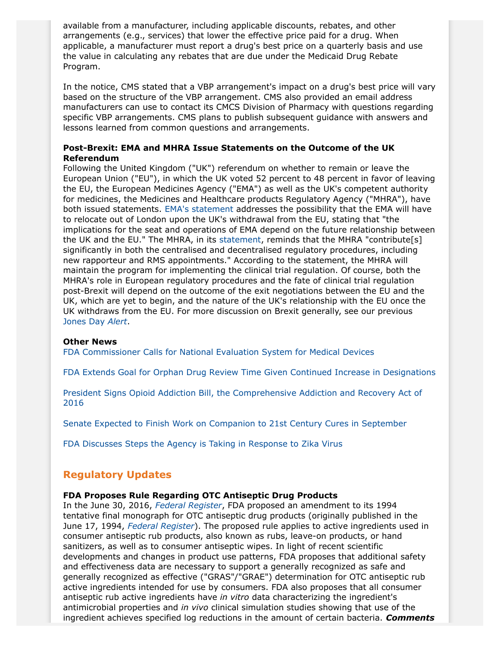available from a manufacturer, including applicable discounts, rebates, and other arrangements (e.g., services) that lower the effective price paid for a drug. When applicable, a manufacturer must report a drug's best price on a quarterly basis and use the value in calculating any rebates that are due under the Medicaid Drug Rebate Program.

In the notice, CMS stated that a VBP arrangement's impact on a drug's best price will vary based on the structure of the VBP arrangement. CMS also provided an email address manufacturers can use to contact its CMCS Division of Pharmacy with questions regarding specific VBP arrangements. CMS plans to publish subsequent guidance with answers and lessons learned from common questions and arrangements.

## **Post-Brexit: EMA and MHRA Issue Statements on the Outcome of the UK Referendum**

Following the United Kingdom ("UK") referendum on whether to remain or leave the European Union ("EU"), in which the UK voted 52 percent to 48 percent in favor of leaving the EU, the European Medicines Agency ("EMA") as well as the UK's competent authority for medicines, the Medicines and Healthcare products Regulatory Agency ("MHRA"), have both issued statements. [EMA's statement](http://www.ema.europa.eu/ema/index.jsp?curl=pages/news_and_events/news/2016/07/news_detail_002566.jsp&mid=WC0b01ac058004d5c1) addresses the possibility that the EMA will have to relocate out of London upon the UK's withdrawal from the EU, stating that "the implications for the seat and operations of EMA depend on the future relationship between the UK and the EU." The MHRA, in its [statement,](https://www.gov.uk/government/news/medicines-and-healthcare-products-regulatory-agency-statement-on-the-outcome-of-the-eu-referendum) reminds that the MHRA "contribute[s] significantly in both the centralised and decentralised regulatory procedures, including new rapporteur and RMS appointments." According to the statement, the MHRA will maintain the program for implementing the clinical trial regulation. Of course, both the MHRA's role in European regulatory procedures and the fate of clinical trial regulation post-Brexit will depend on the outcome of the exit negotiations between the EU and the UK, which are yet to begin, and the nature of the UK's relationship with the EU once the UK withdraws from the EU. For more discussion on Brexit generally, see our previous [Jones Day](http://www.jonesday.com/united-kingdom-votes-to-leave-the-eu-06-24-2016/) *Alert*.

### **Other News**

[FDA Commissioner Calls for National Evaluation System for Medical Devices](http://jama.jamanetwork.com/article.aspx?articleid=2533407)

[FDA Extends Goal for Orphan Drug Review Time Given Continued Increase in Designations](http://blogs.fda.gov/fdavoice/index.php/2016/07/the-rise-in-orphan-drug-designations-meeting-the-growing-demand/)

[President Signs Opioid Addiction Bill, the Comprehensive Addiction and Recovery Act of](https://www.whitehouse.gov/the-press-office/2016/07/22/statement-president-comprehensive-addiction-and-recovery-act-2016) [2016](https://www.whitehouse.gov/the-press-office/2016/07/22/statement-president-comprehensive-addiction-and-recovery-act-2016)

[Senate Expected to Finish Work on Companion to 21st Century Cures in September](http://www.alexander.senate.gov/public/index.cfm/pressreleases?ID=3D6458B1-6011-4DEC-B589-31CE6DF19232)

[FDA Discusses Steps the Agency is Taking in Response to Zika Virus](http://blogs.fda.gov/fdavoice/index.php/2016/07/fda-takes-action-against-zika-virus/)

## **Regulatory Updates**

### **FDA Proposes Rule Regarding OTC Antiseptic Drug Products**

In the June 30, 2016, *[Federal Register](https://www.gpo.gov/fdsys/pkg/FR-2016-06-30/pdf/2016-15410.pdf)*, FDA proposed an amendment to its 1994 tentative final monograph for OTC antiseptic drug products (originally published in the June 17, 1994, *[Federal Register](https://www.gpo.gov/fdsys/pkg/FR-1994-06-17/html/94-14503.htm)*). The proposed rule applies to active ingredients used in consumer antiseptic rub products, also known as rubs, leave-on products, or hand sanitizers, as well as to consumer antiseptic wipes. In light of recent scientific developments and changes in product use patterns, FDA proposes that additional safety and effectiveness data are necessary to support a generally recognized as safe and generally recognized as effective ("GRAS"/"GRAE") determination for OTC antiseptic rub active ingredients intended for use by consumers. FDA also proposes that all consumer antiseptic rub active ingredients have *in vitro* data characterizing the ingredient's antimicrobial properties and *in vivo* clinical simulation studies showing that use of the ingredient achieves specified log reductions in the amount of certain bacteria. *Comments*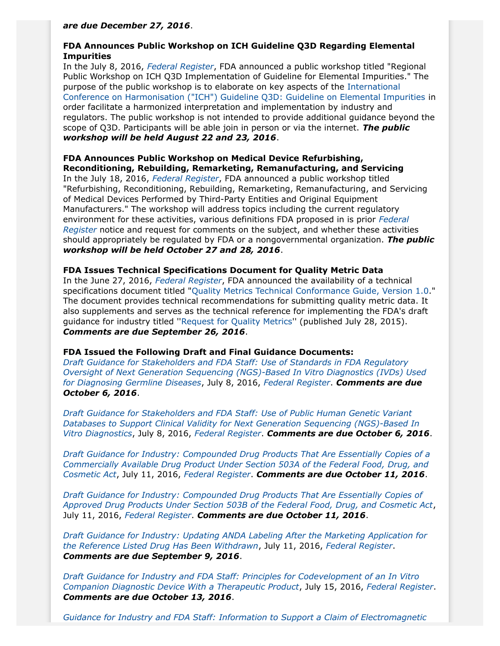### *are due December 27, 2016*.

## **FDA Announces Public Workshop on ICH Guideline Q3D Regarding Elemental Impurities**

In the July 8, 2016, *[Federal Register](https://www.gpo.gov/fdsys/pkg/FR-2016-07-08/pdf/2016-16152.pdf)*, FDA announced a public workshop titled "Regional Public Workshop on ICH Q3D Implementation of Guideline for Elemental Impurities." The purpose of the public workshop is to elaborate on key aspects of the [International](http://www.ich.org/fileadmin/Public_Web_Site/ICH_Products/Guidelines/Quality/Q3D/Q3D_Step_4.pdf) [Conference on Harmonisation \("ICH"\) Guideline Q3D: Guideline on Elemental Impurities](http://www.ich.org/fileadmin/Public_Web_Site/ICH_Products/Guidelines/Quality/Q3D/Q3D_Step_4.pdf) in order facilitate a harmonized interpretation and implementation by industry and regulators. The public workshop is not intended to provide additional guidance beyond the scope of Q3D. Participants will be able join in person or via the internet. *The public workshop will be held August 22 and 23, 2016*.

## **FDA Announces Public Workshop on Medical Device Refurbishing, Reconditioning, Rebuilding, Remarketing, Remanufacturing, and Servicing**

In the July 18, 2016, *[Federal Register](https://www.gpo.gov/fdsys/pkg/FR-2016-07-18/pdf/2016-16887.pdf)*, FDA announced a public workshop titled "Refurbishing, Reconditioning, Rebuilding, Remarketing, Remanufacturing, and Servicing of Medical Devices Performed by Third-Party Entities and Original Equipment Manufacturers." The workshop will address topics including the current regulatory environment for these activities, various definitions FDA proposed in is prior *[Federal](https://www.gpo.gov/fdsys/pkg/FR-2016-03-04/pdf/2016-04700.pdf) [Register](https://www.gpo.gov/fdsys/pkg/FR-2016-03-04/pdf/2016-04700.pdf)* notice and request for comments on the subject, and whether these activities should appropriately be regulated by FDA or a nongovernmental organization. *The public workshop will be held October 27 and 28, 2016*.

# **FDA Issues Technical Specifications Document for Quality Metric Data**

In the June 27, 2016, *[Federal Register](https://www.gpo.gov/fdsys/pkg/FR-2016-06-27/pdf/2016-15099.pdf)*, FDA announced the availability of a technical specifications document titled "[Quality Metrics Technical Conformance Guide, Version 1.0](http://www.fda.gov/downloads/Drugs/DevelopmentApprovalProcess/Manufacturing/UCM508464.pdf)." The document provides technical recommendations for submitting quality metric data. It also supplements and serves as the technical reference for implementing the FDA's draft guidance for industry titled ''[Request for Quality Metrics](http://www.fda.gov/downloads/drugs/guidancecomplianceregulatoryinformation/guidances/ucm455957.pdf)'' (published July 28, 2015). *Comments are due September 26, 2016*.

## **FDA Issued the Following Draft and Final Guidance Documents:**

*[Draft Guidance for Stakeholders and FDA Staff: Use of Standards in FDA Regulatory](http://www.fda.gov/ucm/groups/fdagov-public/@fdagov-meddev-gen/documents/document/ucm509838.pdf) [Oversight of Next Generation Sequencing \(NGS\)-Based In Vitro Diagnostics \(IVDs\) Used](http://www.fda.gov/ucm/groups/fdagov-public/@fdagov-meddev-gen/documents/document/ucm509838.pdf) [for Diagnosing Germline Diseases](http://www.fda.gov/ucm/groups/fdagov-public/@fdagov-meddev-gen/documents/document/ucm509838.pdf)*, July 8, 2016, *[Federal Register](https://www.gpo.gov/fdsys/pkg/FR-2016-07-08/pdf/2016-16201.pdf)*. *Comments are due October 6, 2016*.

*[Draft Guidance for Stakeholders and FDA Staff: Use of Public Human Genetic Variant](http://www.fda.gov/downloads/MedicalDevices/DeviceRegulationandGuidance/GuidanceDocuments/UCM509837.pdf) [Databases to Support Clinical Validity for Next Generation Sequencing \(NGS\)-Based In](http://www.fda.gov/downloads/MedicalDevices/DeviceRegulationandGuidance/GuidanceDocuments/UCM509837.pdf) [Vitro Diagnostics](http://www.fda.gov/downloads/MedicalDevices/DeviceRegulationandGuidance/GuidanceDocuments/UCM509837.pdf)*, July 8, 2016, *[Federal Register](https://www.gpo.gov/fdsys/pkg/FR-2016-07-08/pdf/2016-16200.pdf)*. *Comments are due October 6, 2016*.

*[Draft Guidance for Industry: Compounded Drug Products That Are Essentially Copies of a](http://www.fda.gov/downloads/Drugs/GuidanceComplianceRegulatoryInformation/Guidances/UCM510154.pdf) [Commercially Available Drug Product Under Section 503A of the Federal Food, Drug, and](http://www.fda.gov/downloads/Drugs/GuidanceComplianceRegulatoryInformation/Guidances/UCM510154.pdf) [Cosmetic Act](http://www.fda.gov/downloads/Drugs/GuidanceComplianceRegulatoryInformation/Guidances/UCM510154.pdf)*, July 11, 2016, *[Federal Register](https://www.gpo.gov/fdsys/pkg/FR-2016-07-11/pdf/2016-16361.pdf)*. *Comments are due October 11, 2016*.

*[Draft Guidance for Industry: Compounded Drug Products That Are Essentially Copies of](http://www.fda.gov/downloads/Drugs/GuidanceComplianceRegulatoryInformation/Guidances/UCM510153.pdf) [Approved Drug Products Under Section 503B of the Federal Food, Drug, and Cosmetic Act](http://www.fda.gov/downloads/Drugs/GuidanceComplianceRegulatoryInformation/Guidances/UCM510153.pdf)*, July 11, 2016, *[Federal Register](https://www.gpo.gov/fdsys/pkg/FR-2016-07-11/pdf/2016-16362.pdf)*. *Comments are due October 11, 2016*.

*[Draft Guidance for Industry: Updating ANDA Labeling After the Marketing Application for](http://www.fda.gov/downloads/Drugs/GuidanceComplianceRegulatoryInformation/Guidances/UCM510240.pdf) [the Reference Listed Drug Has Been Withdrawn](http://www.fda.gov/downloads/Drugs/GuidanceComplianceRegulatoryInformation/Guidances/UCM510240.pdf)*, July 11, 2016, *[Federal Register](https://www.gpo.gov/fdsys/pkg/FR-2016-07-11/pdf/2016-16157.pdf)*. *Comments are due September 9, 2016*.

*[Draft Guidance for Industry and FDA Staff: Principles for Codevelopment of an In Vitro](http://www.fda.gov/ucm/groups/fdagov-public/@fdagov-meddev-gen/documents/document/ucm510824.pdf) [Companion Diagnostic Device With a Therapeutic Product](http://www.fda.gov/ucm/groups/fdagov-public/@fdagov-meddev-gen/documents/document/ucm510824.pdf)*, July 15, 2016, *[Federal Register](https://www.gpo.gov/fdsys/pkg/FR-2016-07-15/pdf/2016-16735.pdf)*. *Comments are due October 13, 2016*.

*[Guidance for Industry and FDA Staff: Information to Support a Claim of Electromagnetic](http://www.fda.gov/downloads/MedicalDevices/DeviceRegulationandGuidance/GuidanceDocuments/UCM470201.pdf)*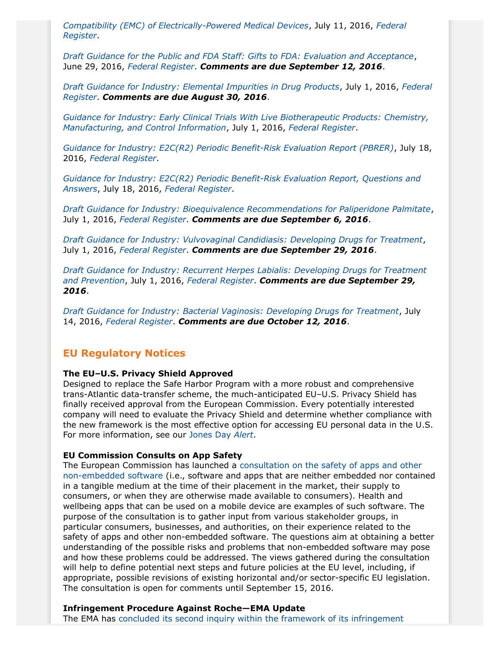*[Compatibility \(EMC\) of Electrically-Powered Medical Devices](http://www.fda.gov/downloads/MedicalDevices/DeviceRegulationandGuidance/GuidanceDocuments/UCM470201.pdf)*, July 11, 2016, *[Federal](https://www.gpo.gov/fdsys/pkg/FR-2016-07-11/pdf/2016-16350.pdf) [Register](https://www.gpo.gov/fdsys/pkg/FR-2016-07-11/pdf/2016-16350.pdf)*.

*[Draft Guidance for the Public and FDA Staff: Gifts to FDA: Evaluation and Acceptance](http://www.fda.gov/downloads/RegulatoryInformation/Guidances/UCM509495.pdf)*, June 29, 2016, *[Federal Register](https://www.gpo.gov/fdsys/pkg/FR-2016-06-29/pdf/2016-15385.pdf)*. *Comments are due September 12, 2016*.

*[Draft Guidance for Industry: Elemental Impurities in Drug Products](http://www.fda.gov/downloads/Drugs/GuidanceComplianceRegulatoryInformation/Guidances/UCM509432.pdf)*, July 1, 2016, *[Federal](https://www.gpo.gov/fdsys/pkg/FR-2016-07-01/pdf/2016-15704.pdf) [Register](https://www.gpo.gov/fdsys/pkg/FR-2016-07-01/pdf/2016-15704.pdf)*. *Comments are due August 30, 2016*.

*[Guidance for Industry: Early Clinical Trials With Live Biotherapeutic Products: Chemistry,](http://www.fda.gov/downloads/BiologicsBloodVaccines/GuidanceComplianceRegulatoryInformation/Guidances/General/UCM292704.pdf) [Manufacturing, and Control Information](http://www.fda.gov/downloads/BiologicsBloodVaccines/GuidanceComplianceRegulatoryInformation/Guidances/General/UCM292704.pdf)*, July 1, 2016, *[Federal Register](https://www.gpo.gov/fdsys/pkg/FR-2016-07-01/pdf/2016-15664.pdf)*.

*[Guidance for Industry: E2C\(R2\) Periodic Benefit-Risk Evaluation Report \(PBRER\)](http://www.fda.gov/ucm/groups/fdagov-public/@fdagov-drugs-gen/documents/document/ucm299513.pdf)*, July 18, 2016, *[Federal Register](https://www.gpo.gov/fdsys/pkg/FR-2016-07-19/pdf/2016-17009.pdf)*.

*[Guidance for Industry: E2C\(R2\) Periodic Benefit-Risk Evaluation Report, Questions and](http://www.fda.gov/ucm/groups/fdagov-public/@fdagov-drugs-gen/documents/document/ucm511567.pdf) [Answers](http://www.fda.gov/ucm/groups/fdagov-public/@fdagov-drugs-gen/documents/document/ucm511567.pdf)*, July 18, 2016, *[Federal Register](https://www.gpo.gov/fdsys/pkg/FR-2016-07-19/pdf/2016-17009.pdf)*.

*[Draft Guidance for Industry: Bioequivalence Recommendations for Paliperidone Palmitate](http://www.fda.gov/downloads/Drugs/GuidanceComplianceRegulatoryInformation/Guidances/UCM270384.pdf)*, July 1, 2016, *[Federal Register](https://www.gpo.gov/fdsys/pkg/FR-2016-07-01/pdf/2016-15663.pdf)*. *Comments are due September 6, 2016*.

*[Draft Guidance for Industry: Vulvovaginal Candidiasis: Developing Drugs for Treatment](http://www.fda.gov/downloads/Drugs/GuidanceComplianceRegulatoryInformation/Guidances/UCM509411.pdf)*, July 1, 2016, *[Federal Register](https://www.gpo.gov/fdsys/pkg/FR-2016-07-01/pdf/2016-15661.pdf)*. *Comments are due September 29, 2016*.

*[Draft Guidance for Industry: Recurrent Herpes Labialis: Developing Drugs for Treatment](http://www.fda.gov/downloads/Drugs/GuidanceComplianceRegulatoryInformation/Guidances/UCM509410.pdf) [and Prevention](http://www.fda.gov/downloads/Drugs/GuidanceComplianceRegulatoryInformation/Guidances/UCM509410.pdf)*, July 1, 2016, *[Federal Register](https://www.gpo.gov/fdsys/pkg/FR-2016-07-01/pdf/2016-15698.pdf)*. *Comments are due September 29, 2016*.

*[Draft Guidance for Industry: Bacterial Vaginosis: Developing Drugs for Treatment](http://www.fda.gov/downloads/Drugs/GuidanceComplianceRegulatoryInformation/Guidances/UCM510948.pdf)*, July 14, 2016, *[Federal Register](https://www.gpo.gov/fdsys/pkg/FR-2016-07-14/pdf/2016-16636.pdf)*. *Comments are due October 12, 2016*.

## **EU Regulatory Notices**

### **The EU–U.S. Privacy Shield Approved**

Designed to replace the Safe Harbor Program with a more robust and comprehensive trans-Atlantic data-transfer scheme, the much-anticipated EU–U.S. Privacy Shield has finally received approval from the European Commission. Every potentially interested company will need to evaluate the Privacy Shield and determine whether compliance with the new framework is the most effective option for accessing EU personal data in the U.S. For more information, see our [Jones Day](http://www.jonesday.com/the-eu-us-privacy-shield-approved-07-15-2016/) *Alert*.

### **EU Commission Consults on App Safety**

The European Commission has launched a [consultation on the safety of apps and other](https://ec.europa.eu/digital-single-market/en/news/public-consultation-safety-apps-and-other-non-embedded-software) [non-embedded software](https://ec.europa.eu/digital-single-market/en/news/public-consultation-safety-apps-and-other-non-embedded-software) (i.e., software and apps that are neither embedded nor contained in a tangible medium at the time of their placement in the market, their supply to consumers, or when they are otherwise made available to consumers). Health and wellbeing apps that can be used on a mobile device are examples of such software. The purpose of the consultation is to gather input from various stakeholder groups, in particular consumers, businesses, and authorities, on their experience related to the safety of apps and other non-embedded software. The questions aim at obtaining a better understanding of the possible risks and problems that non-embedded software may pose and how these problems could be addressed. The views gathered during the consultation will help to define potential next steps and future policies at the EU level, including, if appropriate, possible revisions of existing horizontal and/or sector-specific EU legislation. The consultation is open for comments until September 15, 2016.

### **Infringement Procedure Against Roche—EMA Update**

The EMA has [concluded its second inquiry within the framework of its infringement](http://www.ema.europa.eu/docs/en_GB/document_library/Press_release/2016/07/WC500209635.pdf)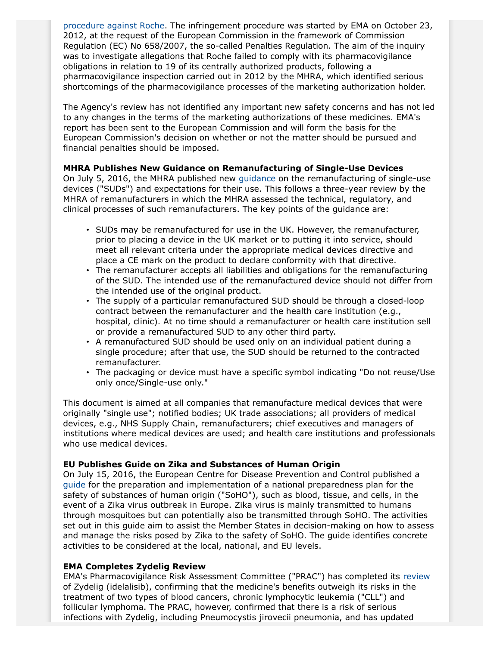[procedure against Roche.](http://www.ema.europa.eu/docs/en_GB/document_library/Press_release/2016/07/WC500209635.pdf) The infringement procedure was started by EMA on October 23, 2012, at the request of the European Commission in the framework of Commission Regulation (EC) No 658/2007, the so-called Penalties Regulation. The aim of the inquiry was to investigate allegations that Roche failed to comply with its pharmacovigilance obligations in relation to 19 of its centrally authorized products, following a pharmacovigilance inspection carried out in 2012 by the MHRA, which identified serious shortcomings of the pharmacovigilance processes of the marketing authorization holder.

The Agency's review has not identified any important new safety concerns and has not led to any changes in the terms of the marketing authorizations of these medicines. EMA's report has been sent to the European Commission and will form the basis for the European Commission's decision on whether or not the matter should be pursued and financial penalties should be imposed.

## **MHRA Publishes New Guidance on Remanufacturing of Single-Use Devices**

On July 5, 2016, the MHRA published new [guidance](https://www.gov.uk/government/uploads/system/uploads/attachment_data/file/534784/Remanufacture_SUD_guidance.pdf) on the remanufacturing of single-use devices ("SUDs") and expectations for their use. This follows a three-year review by the MHRA of remanufacturers in which the MHRA assessed the technical, regulatory, and clinical processes of such remanufacturers. The key points of the guidance are:

- SUDs may be remanufactured for use in the UK. However, the remanufacturer, prior to placing a device in the UK market or to putting it into service, should meet all relevant criteria under the appropriate medical devices directive and place a CE mark on the product to declare conformity with that directive.
- The remanufacturer accepts all liabilities and obligations for the remanufacturing of the SUD. The intended use of the remanufactured device should not differ from the intended use of the original product.
- The supply of a particular remanufactured SUD should be through a closed-loop contract between the remanufacturer and the health care institution (e.g., hospital, clinic). At no time should a remanufacturer or health care institution sell or provide a remanufactured SUD to any other third party.
- A remanufactured SUD should be used only on an individual patient during a single procedure; after that use, the SUD should be returned to the contracted remanufacturer.
- The packaging or device must have a specific symbol indicating "Do not reuse/Use only once/Single-use only."

This document is aimed at all companies that remanufacture medical devices that were originally "single use"; notified bodies; UK trade associations; all providers of medical devices, e.g., NHS Supply Chain, remanufacturers; chief executives and managers of institutions where medical devices are used; and health care institutions and professionals who use medical devices.

## **EU Publishes Guide on Zika and Substances of Human Origin**

On July 15, 2016, the European Centre for Disease Prevention and Control published a [guide](http://ecdc.europa.eu/en/press/news/_layouts/forms/News_DispForm.aspx?ID=1449&List=8db7286c-fe2d-476c-9133-18ff4cb1b568&Source=http%3A%2F%2Fecdc.europa.eu%2Fen%2FPages%2Fhome.aspx) for the preparation and implementation of a national preparedness plan for the safety of substances of human origin ("SoHO"), such as blood, tissue, and cells, in the event of a Zika virus outbreak in Europe. Zika virus is mainly transmitted to humans through mosquitoes but can potentially also be transmitted through SoHO. The activities set out in this guide aim to assist the Member States in decision-making on how to assess and manage the risks posed by Zika to the safety of SoHO. The guide identifies concrete activities to be considered at the local, national, and EU levels.

## **EMA Completes Zydelig Review**

EMA's Pharmacovigilance Risk Assessment Committee ("PRAC") has completed its [review](http://www.ema.europa.eu/docs/en_GB/document_library/Press_release/2016/07/WC500209936.pdf) of Zydelig (idelalisib), confirming that the medicine's benefits outweigh its risks in the treatment of two types of blood cancers, chronic lymphocytic leukemia ("CLL") and follicular lymphoma. The PRAC, however, confirmed that there is a risk of serious infections with Zydelig, including Pneumocystis jirovecii pneumonia, and has updated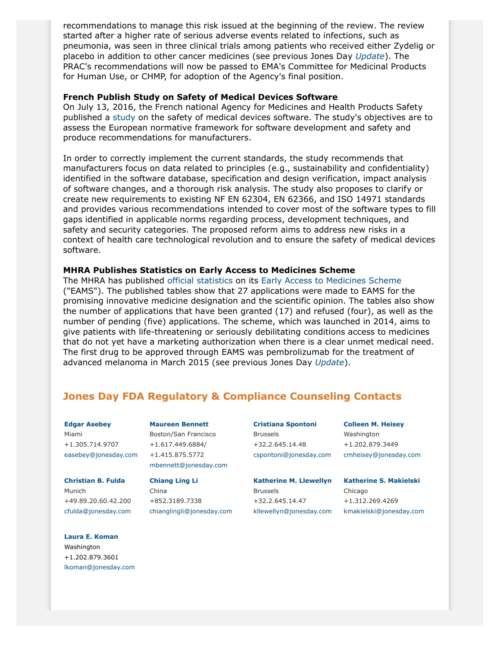recommendations to manage this risk issued at the beginning of the review. The review started after a higher rate of serious adverse events related to infections, such as pneumonia, was seen in three clinical trials among patients who received either Zydelig or placebo in addition to other cancer medicines (see previous Jones Day *[Update](http://www.jonesday.com/Pharmaceutical--Medical-Device-Regulatory-Update-Vol-III-Issue-1-03-18-2016)*). The PRAC's recommendations will now be passed to EMA's Committee for Medicinal Products for Human Use, or CHMP, for adoption of the Agency's final position.

### **French Publish Study on Safety of Medical Devices Software**

On July 13, 2016, the French national Agency for Medicines and Health Products Safety published a [study](http://ansm.sante.fr/var/ansm_site/storage/original/application/1f3c81fac07d6e659075a332c5d00431.pdf) on the safety of medical devices software. The study's objectives are to assess the European normative framework for software development and safety and produce recommendations for manufacturers.

In order to correctly implement the current standards, the study recommends that manufacturers focus on data related to principles (e.g., sustainability and confidentiality) identified in the software database, specification and design verification, impact analysis of software changes, and a thorough risk analysis. The study also proposes to clarify or create new requirements to existing NF EN 62304, EN 62366, and ISO 14971 standards and provides various recommendations intended to cover most of the software types to fill gaps identified in applicable norms regarding process, development techniques, and safety and security categories. The proposed reform aims to address new risks in a context of health care technological revolution and to ensure the safety of medical devices software.

### **MHRA Publishes Statistics on Early Access to Medicines Scheme**

The MHRA has published [official statistics](https://www.gov.uk/government/statistics/early-access-to-medicines-scheme-applications-pending-refused-granted) on its [Early Access to Medicines Scheme](https://www.gov.uk/guidance/apply-for-the-early-access-to-medicines-scheme-eams) ("EAMS"). The published tables show that 27 applications were made to EAMS for the promising innovative medicine designation and the scientific opinion. The tables also show the number of applications that have been granted (17) and refused (four), as well as the number of pending (five) applications. The scheme, which was launched in 2014, aims to give patients with life-threatening or seriously debilitating conditions access to medicines that do not yet have a marketing authorization when there is a clear unmet medical need. The first drug to be approved through EAMS was pembrolizumab for the treatment of advanced melanoma in March 2015 (see previous Jones Day *[Update](http://www.jonesday.com/pharmaceutical--medical-device-regulatory-update-vol-ii-issue-6-03-27-2015/)*).

# <span id="page-6-0"></span>**Jones Day FDA Regulatory & Compliance Counseling Contacts**

**[Edgar Asebey](http://www.jonesday.com/easebey/)** Miami +1.305.714.9707 [easebey@jonesday.com](mailto:easebey@jonesday.com)

**[Christian B. Fulda](http://www.jonesday.com/cfulda/)** Munich +49.89.20.60.42.200 [cfulda@jonesday.com](mailto:cfulda@jonesday.com)

**[Laura E. Koman](http://www.jonesday.com/lkoman)** Washington +1.202.879.3601 [lkoman@jonesday.com](mailto:lkoman@jonesday.com) **[Maureen Bennett](http://www.jonesday.com/mbennett)** Boston/San Francisco +1.617.449.6884/ +1.415.875.5772 [mbennett@jonesday.com](mailto:mbennett@jonesday.com)

**[Chiang Ling Li](http://www.jonesday.com/chianglingli)** China +852.3189.7338 [chianglingli@jonesday.com](mailto:chianglingli@jonesday.com) **[Cristiana Spontoni](http://www.jonesday.com/cspontoni)** Brussels +32.2.645.14.48 [cspontoni@jonesday.com](mailto:cspontoni@jonesday.com) **[Colleen M. Heisey](http://www.jonesday.com/cmheisey)** Washington +1.202.879.3449 [cmheisey@jonesday.com](mailto:cmheisey@jonesday.com)

**[Katherine M. Llewellyn](http://www.jonesday.com/kllewellyn/)** Brussels +32.2.645.14.47 [kllewellyn@jonesday.com](mailto:kllewellyn@jonesday.com) **[Katherine S. Makielski](http://www.jonesday.com/kmakielski)**

Chicago +1.312.269.4269 [kmakielski@jonesday.com](mailto:kmakielski@jonesday.com)